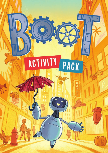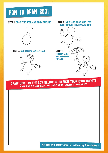# how to draw Boot

### Step 1: Draw the head and body outline



#### step 3: Add Boot's lovely face



step 2: Now add arms and legs – don't forget the fingers too!



**DRAW BOOT IN THE BOX BELOW OR DESIGN YOUR OWN ROBOT!** WHAT WOULD IT LOOK LIKE? THINK ABOUT WHAT FEATURES IT WOULD HAVE.

Ask an adult to share your picture online using #BootTheRobot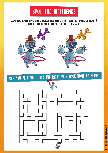## Can you spot five differences between the two pictures of BOOT? Circle them once you've found them all.



Can you help BOOT find the right path back home to Beth?